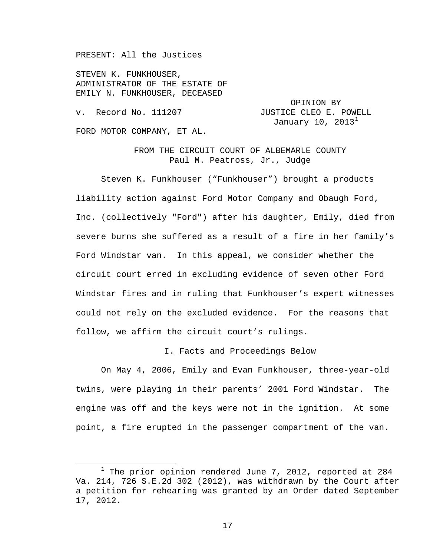PRESENT: All the Justices

STEVEN K. FUNKHOUSER, ADMINISTRATOR OF THE ESTATE OF EMILY N. FUNKHOUSER, DECEASED

OPINION BY v. Record No. 111207 JUSTICE CLEO E. POWELL January [1](#page-0-0)0,  $2013<sup>1</sup>$ FORD MOTOR COMPANY, ET AL.

> FROM THE CIRCUIT COURT OF ALBEMARLE COUNTY Paul M. Peatross, Jr., Judge

Steven K. Funkhouser ("Funkhouser") brought a products liability action against Ford Motor Company and Obaugh Ford, Inc. (collectively "Ford") after his daughter, Emily, died from severe burns she suffered as a result of a fire in her family's Ford Windstar van. In this appeal, we consider whether the circuit court erred in excluding evidence of seven other Ford Windstar fires and in ruling that Funkhouser's expert witnesses could not rely on the excluded evidence. For the reasons that follow, we affirm the circuit court's rulings.

I. Facts and Proceedings Below

On May 4, 2006, Emily and Evan Funkhouser, three-year-old twins, were playing in their parents' 2001 Ford Windstar. The engine was off and the keys were not in the ignition. At some point, a fire erupted in the passenger compartment of the van.

<span id="page-0-0"></span> $1$  The prior opinion rendered June 7, 2012, reported at 284 Va. 214, 726 S.E.2d 302 (2012), was withdrawn by the Court after a petition for rehearing was granted by an Order dated September 17, 2012.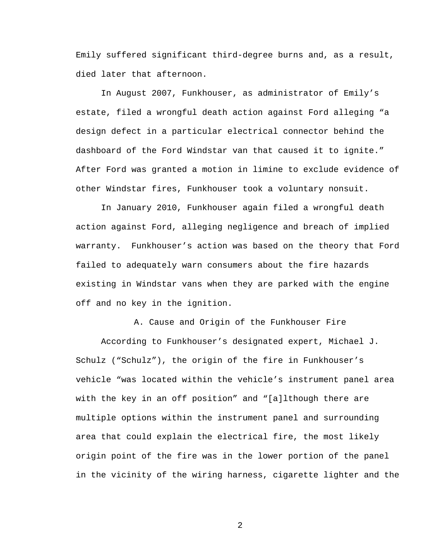Emily suffered significant third-degree burns and, as a result, died later that afternoon.

In August 2007, Funkhouser, as administrator of Emily's estate, filed a wrongful death action against Ford alleging "a design defect in a particular electrical connector behind the dashboard of the Ford Windstar van that caused it to ignite." After Ford was granted a motion in limine to exclude evidence of other Windstar fires, Funkhouser took a voluntary nonsuit.

In January 2010, Funkhouser again filed a wrongful death action against Ford, alleging negligence and breach of implied warranty. Funkhouser's action was based on the theory that Ford failed to adequately warn consumers about the fire hazards existing in Windstar vans when they are parked with the engine off and no key in the ignition.

A. Cause and Origin of the Funkhouser Fire According to Funkhouser's designated expert, Michael J. Schulz ("Schulz"), the origin of the fire in Funkhouser's vehicle "was located within the vehicle's instrument panel area with the key in an off position" and "[a]lthough there are multiple options within the instrument panel and surrounding area that could explain the electrical fire, the most likely origin point of the fire was in the lower portion of the panel in the vicinity of the wiring harness, cigarette lighter and the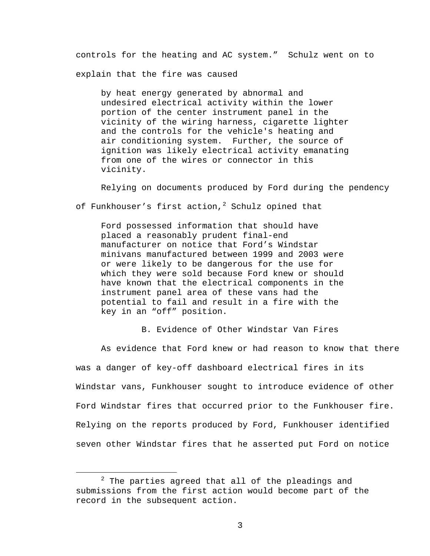controls for the heating and AC system." Schulz went on to explain that the fire was caused

by heat energy generated by abnormal and undesired electrical activity within the lower portion of the center instrument panel in the vicinity of the wiring harness, cigarette lighter and the controls for the vehicle's heating and air conditioning system. Further, the source of ignition was likely electrical activity emanating from one of the wires or connector in this vicinity.

Relying on documents produced by Ford during the pendency

of Funkhouser's first action,<sup>[2](#page-2-0)</sup> Schulz opined that

Ford possessed information that should have placed a reasonably prudent final-end manufacturer on notice that Ford's Windstar minivans manufactured between 1999 and 2003 were or were likely to be dangerous for the use for which they were sold because Ford knew or should have known that the electrical components in the instrument panel area of these vans had the potential to fail and result in a fire with the key in an "off" position.

B. Evidence of Other Windstar Van Fires

As evidence that Ford knew or had reason to know that there was a danger of key-off dashboard electrical fires in its Windstar vans, Funkhouser sought to introduce evidence of other Ford Windstar fires that occurred prior to the Funkhouser fire. Relying on the reports produced by Ford, Funkhouser identified seven other Windstar fires that he asserted put Ford on notice

<span id="page-2-0"></span> $2$  The parties agreed that all of the pleadings and submissions from the first action would become part of the record in the subsequent action.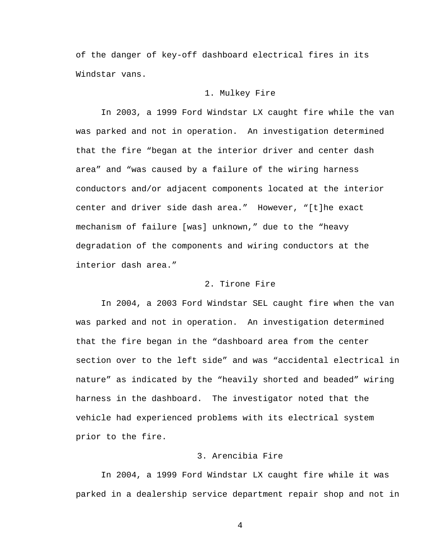of the danger of key-off dashboard electrical fires in its Windstar vans.

## 1. Mulkey Fire

In 2003, a 1999 Ford Windstar LX caught fire while the van was parked and not in operation. An investigation determined that the fire "began at the interior driver and center dash area" and "was caused by a failure of the wiring harness conductors and/or adjacent components located at the interior center and driver side dash area." However, "[t]he exact mechanism of failure [was] unknown," due to the "heavy degradation of the components and wiring conductors at the interior dash area."

### 2. Tirone Fire

In 2004, a 2003 Ford Windstar SEL caught fire when the van was parked and not in operation. An investigation determined that the fire began in the "dashboard area from the center section over to the left side" and was "accidental electrical in nature" as indicated by the "heavily shorted and beaded" wiring harness in the dashboard. The investigator noted that the vehicle had experienced problems with its electrical system prior to the fire.

## 3. Arencibia Fire

In 2004, a 1999 Ford Windstar LX caught fire while it was parked in a dealership service department repair shop and not in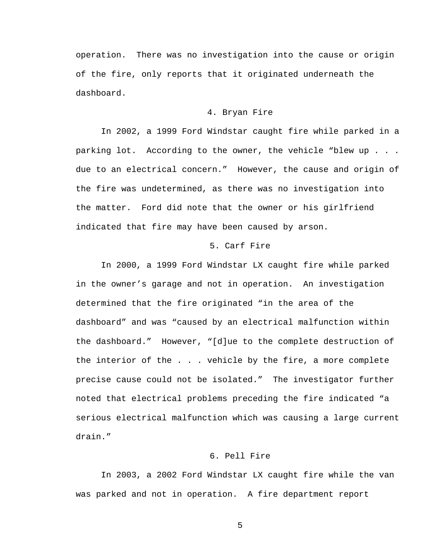operation. There was no investigation into the cause or origin of the fire, only reports that it originated underneath the dashboard.

#### 4. Bryan Fire

In 2002, a 1999 Ford Windstar caught fire while parked in a parking lot. According to the owner, the vehicle "blew up . . . due to an electrical concern." However, the cause and origin of the fire was undetermined, as there was no investigation into the matter. Ford did note that the owner or his girlfriend indicated that fire may have been caused by arson.

## 5. Carf Fire

In 2000, a 1999 Ford Windstar LX caught fire while parked in the owner's garage and not in operation. An investigation determined that the fire originated "in the area of the dashboard" and was "caused by an electrical malfunction within the dashboard." However, "[d]ue to the complete destruction of the interior of the . . . vehicle by the fire, a more complete precise cause could not be isolated." The investigator further noted that electrical problems preceding the fire indicated "a serious electrical malfunction which was causing a large current drain."

## 6. Pell Fire

In 2003, a 2002 Ford Windstar LX caught fire while the van was parked and not in operation. A fire department report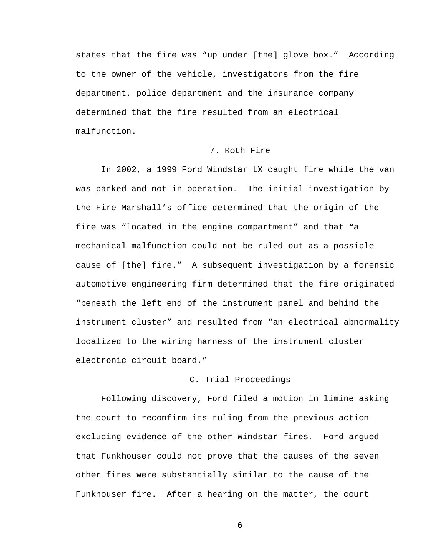states that the fire was "up under [the] glove box." According to the owner of the vehicle, investigators from the fire department, police department and the insurance company determined that the fire resulted from an electrical malfunction.

## 7. Roth Fire

In 2002, a 1999 Ford Windstar LX caught fire while the van was parked and not in operation. The initial investigation by the Fire Marshall's office determined that the origin of the fire was "located in the engine compartment" and that "a mechanical malfunction could not be ruled out as a possible cause of [the] fire." A subsequent investigation by a forensic automotive engineering firm determined that the fire originated "beneath the left end of the instrument panel and behind the instrument cluster" and resulted from "an electrical abnormality localized to the wiring harness of the instrument cluster electronic circuit board."

#### C. Trial Proceedings

Following discovery, Ford filed a motion in limine asking the court to reconfirm its ruling from the previous action excluding evidence of the other Windstar fires. Ford argued that Funkhouser could not prove that the causes of the seven other fires were substantially similar to the cause of the Funkhouser fire. After a hearing on the matter, the court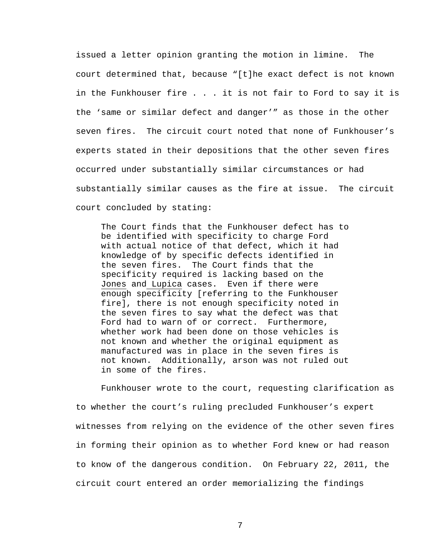issued a letter opinion granting the motion in limine. The court determined that, because "[t]he exact defect is not known in the Funkhouser fire . . . it is not fair to Ford to say it is the 'same or similar defect and danger'" as those in the other seven fires. The circuit court noted that none of Funkhouser's experts stated in their depositions that the other seven fires occurred under substantially similar circumstances or had substantially similar causes as the fire at issue. The circuit court concluded by stating:

The Court finds that the Funkhouser defect has to be identified with specificity to charge Ford with actual notice of that defect, which it had knowledge of by specific defects identified in the seven fires. The Court finds that the specificity required is lacking based on the Jones and Lupica cases. Even if there were enough specificity [referring to the Funkhouser fire], there is not enough specificity noted in the seven fires to say what the defect was that Ford had to warn of or correct. Furthermore, whether work had been done on those vehicles is not known and whether the original equipment as manufactured was in place in the seven fires is not known. Additionally, arson was not ruled out in some of the fires.

Funkhouser wrote to the court, requesting clarification as to whether the court's ruling precluded Funkhouser's expert witnesses from relying on the evidence of the other seven fires in forming their opinion as to whether Ford knew or had reason to know of the dangerous condition. On February 22, 2011, the circuit court entered an order memorializing the findings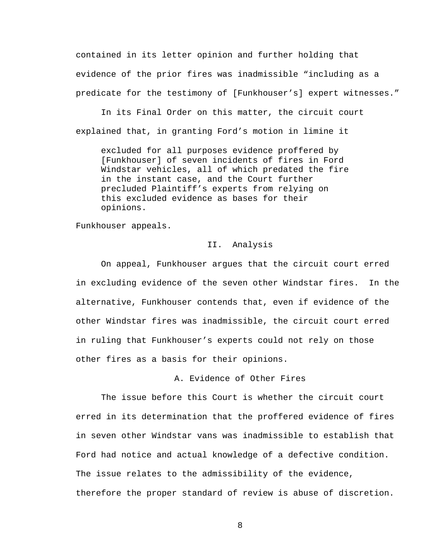contained in its letter opinion and further holding that evidence of the prior fires was inadmissible "including as a predicate for the testimony of [Funkhouser's] expert witnesses."

In its Final Order on this matter, the circuit court explained that, in granting Ford's motion in limine it

excluded for all purposes evidence proffered by [Funkhouser] of seven incidents of fires in Ford Windstar vehicles, all of which predated the fire in the instant case, and the Court further precluded Plaintiff's experts from relying on this excluded evidence as bases for their opinions.

Funkhouser appeals.

#### II. Analysis

On appeal, Funkhouser argues that the circuit court erred in excluding evidence of the seven other Windstar fires. In the alternative, Funkhouser contends that, even if evidence of the other Windstar fires was inadmissible, the circuit court erred in ruling that Funkhouser's experts could not rely on those other fires as a basis for their opinions.

## A. Evidence of Other Fires

The issue before this Court is whether the circuit court erred in its determination that the proffered evidence of fires in seven other Windstar vans was inadmissible to establish that Ford had notice and actual knowledge of a defective condition. The issue relates to the admissibility of the evidence, therefore the proper standard of review is abuse of discretion.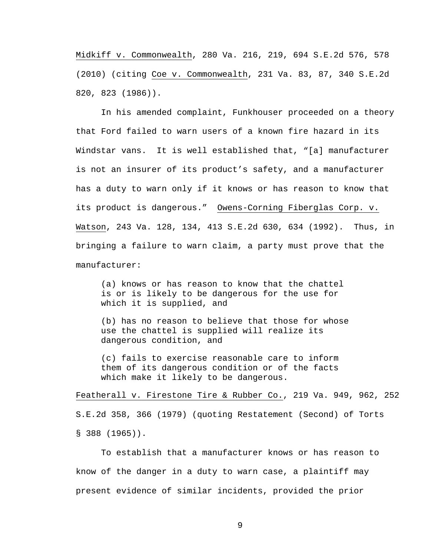Midkiff v. Commonwealth, 280 Va. 216, 219, 694 S.E.2d 576, 578 (2010) (citing Coe v. Commonwealth, 231 Va. 83, 87, 340 S.E.2d 820, 823 (1986)).

In his amended complaint, Funkhouser proceeded on a theory that Ford failed to warn users of a known fire hazard in its Windstar vans. It is well established that, "[a] manufacturer is not an insurer of its product's safety, and a manufacturer has a duty to warn only if it knows or has reason to know that its product is dangerous." Owens-Corning Fiberglas Corp. v. Watson, 243 Va. 128, 134, 413 S.E.2d 630, 634 (1992). Thus, in bringing a failure to warn claim, a party must prove that the manufacturer:

(a) knows or has reason to know that the chattel is or is likely to be dangerous for the use for which it is supplied, and

(b) has no reason to believe that those for whose use the chattel is supplied will realize its dangerous condition, and

(c) fails to exercise reasonable care to inform them of its dangerous condition or of the facts which make it likely to be dangerous.

Featherall v. Firestone Tire & Rubber Co., 219 Va. 949, 962, 252 S.E.2d 358, 366 (1979) (quoting Restatement (Second) of Torts § 388 (1965)).

To establish that a manufacturer knows or has reason to know of the danger in a duty to warn case, a plaintiff may present evidence of similar incidents, provided the prior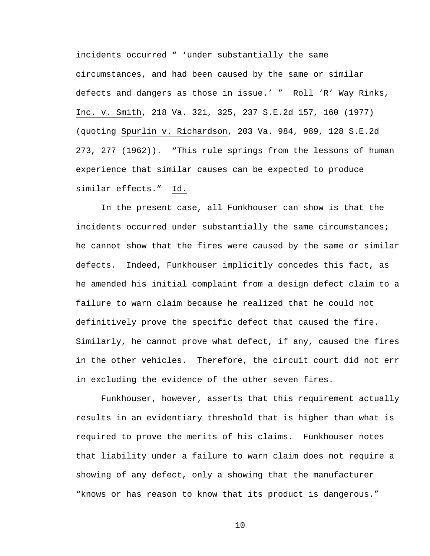incidents occurred " 'under substantially the same circumstances, and had been caused by the same or similar defects and dangers as those in issue.' " Roll 'R' Way Rinks, Inc. v. Smith, 218 Va. 321, 325, 237 S.E.2d 157, 160 (1977) (quoting Spurlin v. Richardson, 203 Va. 984, 989, 128 S.E.2d 273, 277 (1962)). "This rule springs from the lessons of human experience that similar causes can be expected to produce similar effects." Id.

In the present case, all Funkhouser can show is that the incidents occurred under substantially the same circumstances; he cannot show that the fires were caused by the same or similar defects. Indeed, Funkhouser implicitly concedes this fact, as he amended his initial complaint from a design defect claim to a failure to warn claim because he realized that he could not definitively prove the specific defect that caused the fire. Similarly, he cannot prove what defect, if any, caused the fires in the other vehicles. Therefore, the circuit court did not err in excluding the evidence of the other seven fires.

Funkhouser, however, asserts that this requirement actually results in an evidentiary threshold that is higher than what is required to prove the merits of his claims. Funkhouser notes that liability under a failure to warn claim does not require a showing of any defect, only a showing that the manufacturer "knows or has reason to know that its product is dangerous."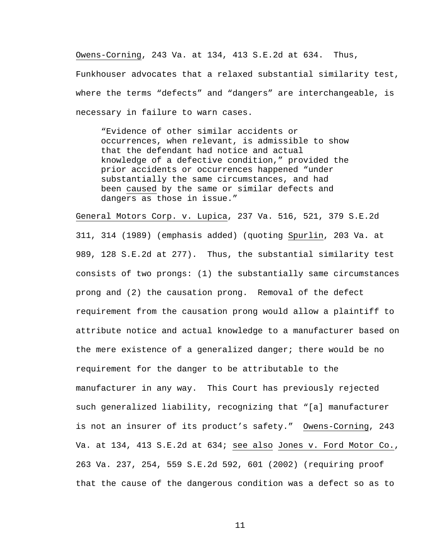Owens-Corning, 243 Va. at 134, 413 S.E.2d at 634. Thus,

Funkhouser advocates that a relaxed substantial similarity test, where the terms "defects" and "dangers" are interchangeable, is necessary in failure to warn cases.

"Evidence of other similar accidents or occurrences, when relevant, is admissible to show that the defendant had notice and actual knowledge of a defective condition," provided the prior accidents or occurrences happened "under substantially the same circumstances, and had been caused by the same or similar defects and dangers as those in issue."

General Motors Corp. v. Lupica, 237 Va. 516, 521, 379 S.E.2d 311, 314 (1989) (emphasis added) (quoting Spurlin, 203 Va. at 989, 128 S.E.2d at 277). Thus, the substantial similarity test consists of two prongs: (1) the substantially same circumstances prong and (2) the causation prong. Removal of the defect requirement from the causation prong would allow a plaintiff to attribute notice and actual knowledge to a manufacturer based on the mere existence of a generalized danger; there would be no requirement for the danger to be attributable to the manufacturer in any way. This Court has previously rejected such generalized liability, recognizing that "[a] manufacturer is not an insurer of its product's safety." Owens-Corning, 243 Va. at 134, 413 S.E.2d at 634; see also Jones v. Ford Motor Co., 263 Va. 237, 254, 559 S.E.2d 592, 601 (2002) (requiring proof that the cause of the dangerous condition was a defect so as to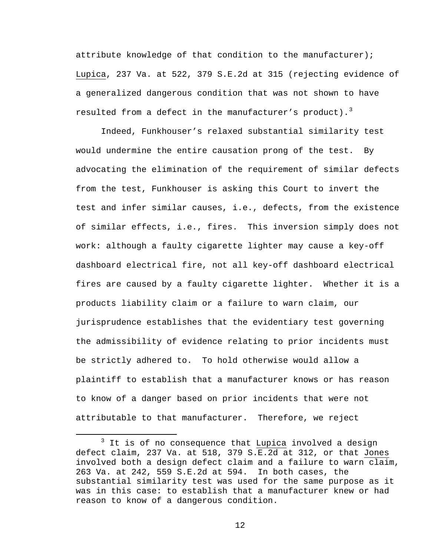attribute knowledge of that condition to the manufacturer); Lupica, 237 Va. at 522, 379 S.E.2d at 315 (rejecting evidence of a generalized dangerous condition that was not shown to have resulted from a defect in the manufacturer's product).<sup>[3](#page-11-0)</sup>

Indeed, Funkhouser's relaxed substantial similarity test would undermine the entire causation prong of the test. By advocating the elimination of the requirement of similar defects from the test, Funkhouser is asking this Court to invert the test and infer similar causes, i.e., defects, from the existence of similar effects, i.e., fires. This inversion simply does not work: although a faulty cigarette lighter may cause a key-off dashboard electrical fire, not all key-off dashboard electrical fires are caused by a faulty cigarette lighter. Whether it is a products liability claim or a failure to warn claim, our jurisprudence establishes that the evidentiary test governing the admissibility of evidence relating to prior incidents must be strictly adhered to. To hold otherwise would allow a plaintiff to establish that a manufacturer knows or has reason to know of a danger based on prior incidents that were not attributable to that manufacturer. Therefore, we reject

<span id="page-11-0"></span>It is of no consequence that Lupica involved a design defect claim, 237 Va. at 518, 379 S.E.2d at 312, or that Jones involved both a design defect claim and a failure to warn claim, 263 Va. at 242, 559 S.E.2d at 594. In both cases, the substantial similarity test was used for the same purpose as it was in this case: to establish that a manufacturer knew or had reason to know of a dangerous condition.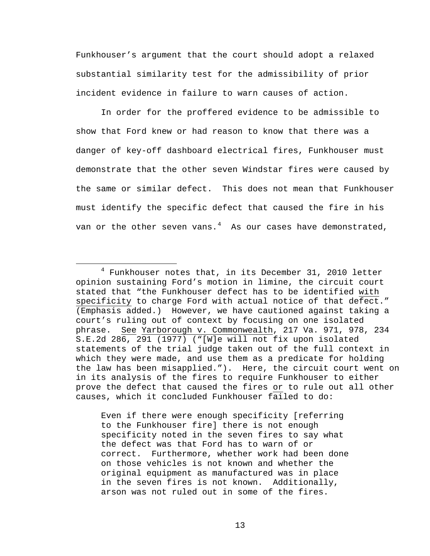Funkhouser's argument that the court should adopt a relaxed substantial similarity test for the admissibility of prior incident evidence in failure to warn causes of action.

In order for the proffered evidence to be admissible to show that Ford knew or had reason to know that there was a danger of key-off dashboard electrical fires, Funkhouser must demonstrate that the other seven Windstar fires were caused by the same or similar defect. This does not mean that Funkhouser must identify the specific defect that caused the fire in his van or the other seven vans. $^4$  $^4$  As our cases have demonstrated,

Even if there were enough specificity [referring to the Funkhouser fire] there is not enough specificity noted in the seven fires to say what the defect was that Ford has to warn of or correct. Furthermore, whether work had been done on those vehicles is not known and whether the original equipment as manufactured was in place in the seven fires is not known. Additionally, arson was not ruled out in some of the fires.

<span id="page-12-0"></span> $4$  Funkhouser notes that, in its December 31, 2010 letter opinion sustaining Ford's motion in limine, the circuit court stated that "the Funkhouser defect has to be identified with specificity to charge Ford with actual notice of that defect." (Emphasis added.) However, we have cautioned against taking a court's ruling out of context by focusing on one isolated phrase. See Yarborough v. Commonwealth, 217 Va. 971, 978, 234 S.E.2d 286, 291 (1977) ("[W]e will not fix upon isolated statements of the trial judge taken out of the full context in which they were made, and use them as a predicate for holding the law has been misapplied."). Here, the circuit court went on in its analysis of the fires to require Funkhouser to either prove the defect that caused the fires or to rule out all other causes, which it concluded Funkhouser failed to do: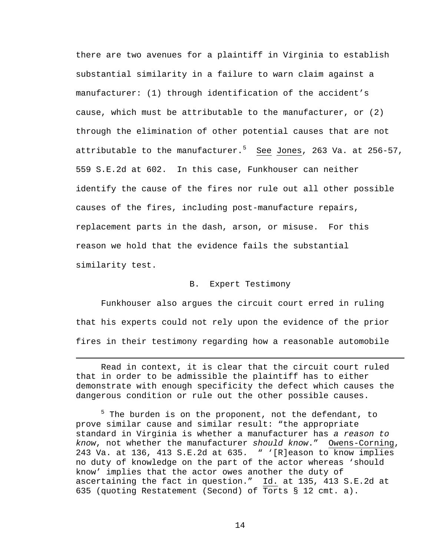there are two avenues for a plaintiff in Virginia to establish substantial similarity in a failure to warn claim against a manufacturer: (1) through identification of the accident's cause, which must be attributable to the manufacturer, or (2) through the elimination of other potential causes that are not attributable to the manufacturer.<sup>[5](#page-13-0)</sup> <u>See</u> <u>Jones</u>, 263 Va. at 256-57, 559 S.E.2d at 602. In this case, Funkhouser can neither identify the cause of the fires nor rule out all other possible causes of the fires, including post-manufacture repairs, replacement parts in the dash, arson, or misuse. For this reason we hold that the evidence fails the substantial similarity test.

### B. Expert Testimony

Funkhouser also argues the circuit court erred in ruling that his experts could not rely upon the evidence of the prior fires in their testimony regarding how a reasonable automobile

Read in context, it is clear that the circuit court ruled that in order to be admissible the plaintiff has to either demonstrate with enough specificity the defect which causes the dangerous condition or rule out the other possible causes.

Ĩ.

<span id="page-13-0"></span><sup>5</sup> The burden is on the proponent, not the defendant, to prove similar cause and similar result: "the appropriate standard in Virginia is whether a manufacturer has *a reason to know*, not whether the manufacturer *should know*." Owens-Corning, 243 Va. at 136, 413 S.E.2d at 635. " '[R]eason to know implies no duty of knowledge on the part of the actor whereas 'should know' implies that the actor owes another the duty of ascertaining the fact in question." Id. at 135, 413 S.E.2d at 635 (quoting Restatement (Second) of Torts § 12 cmt. a).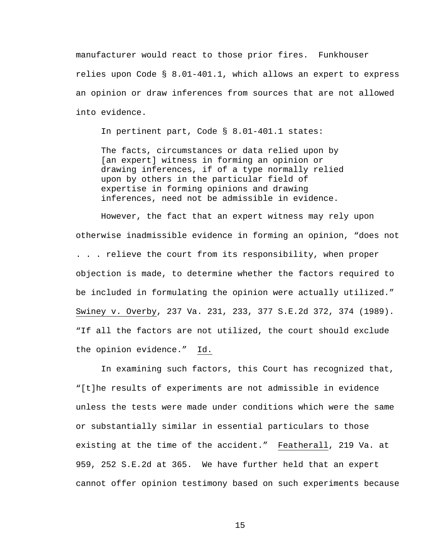manufacturer would react to those prior fires. Funkhouser relies upon Code § 8.01-401.1, which allows an expert to express an opinion or draw inferences from sources that are not allowed into evidence.

In pertinent part, Code § 8.01-401.1 states:

The facts, circumstances or data relied upon by [an expert] witness in forming an opinion or drawing inferences, if of a type normally relied upon by others in the particular field of expertise in forming opinions and drawing inferences, need not be admissible in evidence.

However, the fact that an expert witness may rely upon otherwise inadmissible evidence in forming an opinion, "does not . . . relieve the court from its responsibility, when proper objection is made, to determine whether the factors required to be included in formulating the opinion were actually utilized." Swiney v. Overby, 237 Va. 231, 233, 377 S.E.2d 372, 374 (1989). "If all the factors are not utilized, the court should exclude the opinion evidence." Id.

In examining such factors, this Court has recognized that, "[t]he results of experiments are not admissible in evidence unless the tests were made under conditions which were the same or substantially similar in essential particulars to those existing at the time of the accident." Featherall, 219 Va. at 959, 252 S.E.2d at 365. We have further held that an expert cannot offer opinion testimony based on such experiments because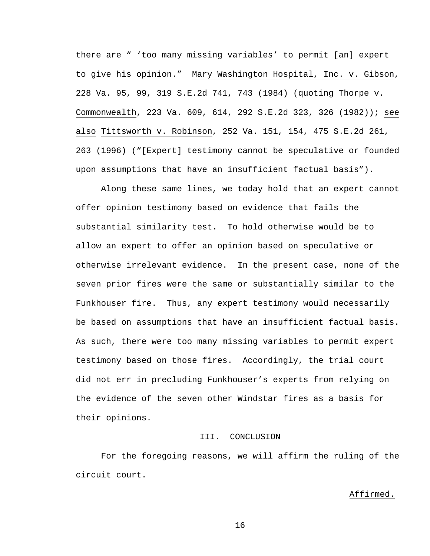there are " 'too many missing variables' to permit [an] expert to give his opinion." Mary Washington Hospital, Inc. v. Gibson, 228 Va. 95, 99, 319 S.E.2d 741, 743 (1984) (quoting Thorpe v. Commonwealth, 223 Va. 609, 614, 292 S.E.2d 323, 326 (1982)); see also Tittsworth v. Robinson, 252 Va. 151, 154, 475 S.E.2d 261, 263 (1996) ("[Expert] testimony cannot be speculative or founded upon assumptions that have an insufficient factual basis").

Along these same lines, we today hold that an expert cannot offer opinion testimony based on evidence that fails the substantial similarity test. To hold otherwise would be to allow an expert to offer an opinion based on speculative or otherwise irrelevant evidence. In the present case, none of the seven prior fires were the same or substantially similar to the Funkhouser fire. Thus, any expert testimony would necessarily be based on assumptions that have an insufficient factual basis. As such, there were too many missing variables to permit expert testimony based on those fires. Accordingly, the trial court did not err in precluding Funkhouser's experts from relying on the evidence of the seven other Windstar fires as a basis for their opinions.

## III. CONCLUSION

For the foregoing reasons, we will affirm the ruling of the circuit court.

#### Affirmed.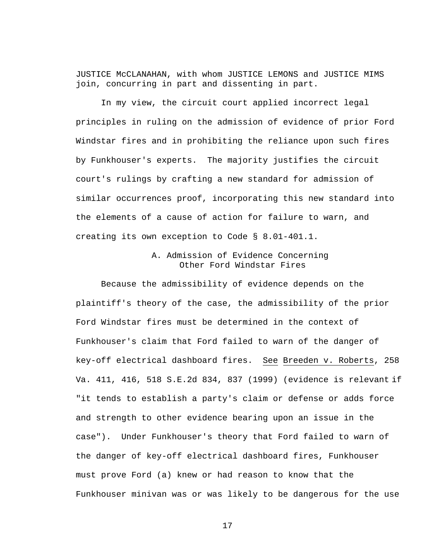JUSTICE McCLANAHAN, with whom JUSTICE LEMONS and JUSTICE MIMS join, concurring in part and dissenting in part.

In my view, the circuit court applied incorrect legal principles in ruling on the admission of evidence of prior Ford Windstar fires and in prohibiting the reliance upon such fires by Funkhouser's experts. The majority justifies the circuit court's rulings by crafting a new standard for admission of similar occurrences proof, incorporating this new standard into the elements of a cause of action for failure to warn, and creating its own exception to Code § 8.01-401.1.

# A. Admission of Evidence Concerning Other Ford Windstar Fires

Because the admissibility of evidence depends on the plaintiff's theory of the case, the admissibility of the prior Ford Windstar fires must be determined in the context of Funkhouser's claim that Ford failed to warn of the danger of key-off electrical dashboard fires. See Breeden v. Roberts, 258 Va. 411, 416, 518 S.E.2d 834, 837 (1999) (evidence is relevant if "it tends to establish a party's claim or defense or adds force and strength to other evidence bearing upon an issue in the case"). Under Funkhouser's theory that Ford failed to warn of the danger of key-off electrical dashboard fires, Funkhouser must prove Ford (a) knew or had reason to know that the Funkhouser minivan was or was likely to be dangerous for the use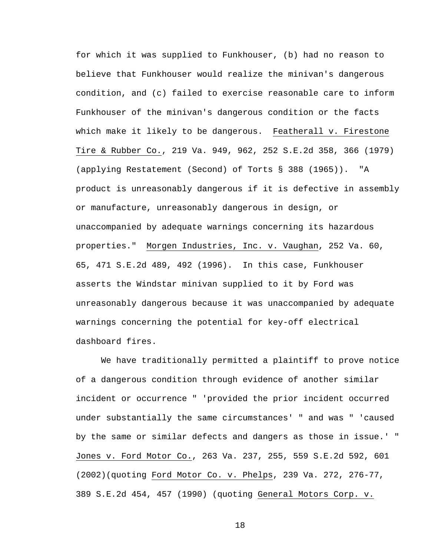for which it was supplied to Funkhouser, (b) had no reason to believe that Funkhouser would realize the minivan's dangerous condition, and (c) failed to exercise reasonable care to inform Funkhouser of the minivan's dangerous condition or the facts which make it likely to be dangerous. Featherall v. Firestone Tire & Rubber Co., 219 Va. 949, 962, 252 S.E.2d 358, 366 (1979) (applying Restatement (Second) of Torts § 388 (1965)). "A product is unreasonably dangerous if it is defective in assembly or manufacture, unreasonably dangerous in design, or unaccompanied by adequate warnings concerning its hazardous properties." Morgen Industries, Inc. v. Vaughan, 252 Va. 60, 65, 471 S.E.2d 489, 492 (1996). In this case, Funkhouser asserts the Windstar minivan supplied to it by Ford was unreasonably dangerous because it was unaccompanied by adequate warnings concerning the potential for key-off electrical dashboard fires.

We have traditionally permitted a plaintiff to prove notice of a dangerous condition through evidence of another similar incident or occurrence " 'provided the prior incident occurred under substantially the same circumstances' " and was " 'caused by the same or similar defects and dangers as those in issue.' " Jones v. Ford Motor Co., 263 Va. 237, 255, 559 S.E.2d 592, 601 (2002)(quoting Ford Motor Co. v. Phelps, 239 Va. 272, 276-77, 389 S.E.2d 454, 457 (1990) (quoting General Motors Corp. v.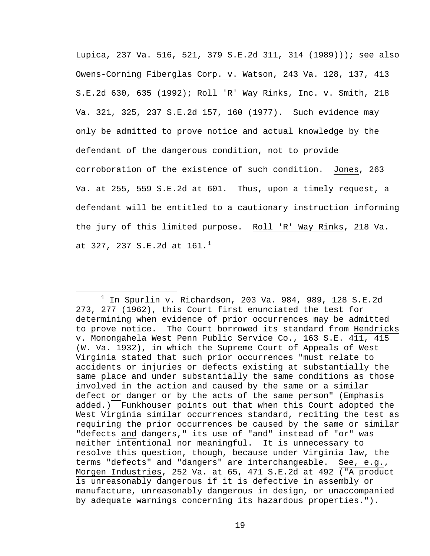Lupica, 237 Va. 516, 521, 379 S.E.2d 311, 314 (1989))); see also Owens-Corning Fiberglas Corp. v. Watson, 243 Va. 128, 137, 413 S.E.2d 630, 635 (1992); Roll 'R' Way Rinks, Inc. v. Smith, 218 Va. 321, 325, 237 S.E.2d 157, 160 (1977). Such evidence may only be admitted to prove notice and actual knowledge by the defendant of the dangerous condition, not to provide corroboration of the existence of such condition. Jones, 263 Va. at 255, 559 S.E.2d at 601. Thus, upon a timely request, a defendant will be entitled to a cautionary instruction informing the jury of this limited purpose. Roll 'R' Way Rinks, 218 Va. at 327, 237 S.E.2d at  $161.^1$  $161.^1$ 

<span id="page-18-0"></span> $1$  In Spurlin v. Richardson, 203 Va. 984, 989, 128 S.E.2d 273, 277 (1962), this Court first enunciated the test for determining when evidence of prior occurrences may be admitted to prove notice. The Court borrowed its standard from Hendricks v. Monongahela West Penn Public Service Co., 163 S.E. 411, 415 (W. Va. 1932), in which the Supreme Court of Appeals of West Virginia stated that such prior occurrences "must relate to accidents or injuries or defects existing at substantially the same place and under substantially the same conditions as those involved in the action and caused by the same or a similar defect or danger or by the acts of the same person" (Emphasis added.) Funkhouser points out that when this Court adopted the West Virginia similar occurrences standard, reciting the test as requiring the prior occurrences be caused by the same or similar "defects and dangers," its use of "and" instead of "or" was neither intentional nor meaningful. It is unnecessary to resolve this question, though, because under Virginia law, the terms "defects" and "dangers" are interchangeable. See, e.g., Morgen Industries, 252 Va. at 65, 471 S.E.2d at 492 ("A product is unreasonably dangerous if it is defective in assembly or manufacture, unreasonably dangerous in design, or unaccompanied by adequate warnings concerning its hazardous properties.").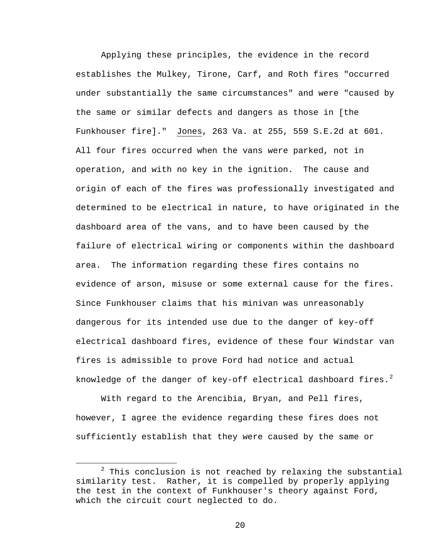Applying these principles, the evidence in the record establishes the Mulkey, Tirone, Carf, and Roth fires "occurred under substantially the same circumstances" and were "caused by the same or similar defects and dangers as those in [the Funkhouser fire]." Jones, 263 Va. at 255, 559 S.E.2d at 601. All four fires occurred when the vans were parked, not in operation, and with no key in the ignition. The cause and origin of each of the fires was professionally investigated and determined to be electrical in nature, to have originated in the dashboard area of the vans, and to have been caused by the failure of electrical wiring or components within the dashboard area. The information regarding these fires contains no evidence of arson, misuse or some external cause for the fires. Since Funkhouser claims that his minivan was unreasonably dangerous for its intended use due to the danger of key-off electrical dashboard fires, evidence of these four Windstar van fires is admissible to prove Ford had notice and actual knowledge of the danger of key-off electrical dashboard fires.<sup>[2](#page-19-0)</sup>

With regard to the Arencibia, Bryan, and Pell fires, however, I agree the evidence regarding these fires does not sufficiently establish that they were caused by the same or

<span id="page-19-0"></span> $2$  This conclusion is not reached by relaxing the substantial similarity test. Rather, it is compelled by properly applying the test in the context of Funkhouser's theory against Ford, which the circuit court neglected to do.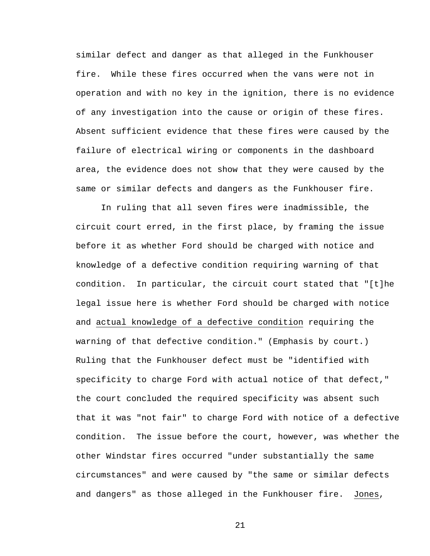similar defect and danger as that alleged in the Funkhouser fire. While these fires occurred when the vans were not in operation and with no key in the ignition, there is no evidence of any investigation into the cause or origin of these fires. Absent sufficient evidence that these fires were caused by the failure of electrical wiring or components in the dashboard area, the evidence does not show that they were caused by the same or similar defects and dangers as the Funkhouser fire.

In ruling that all seven fires were inadmissible, the circuit court erred, in the first place, by framing the issue before it as whether Ford should be charged with notice and knowledge of a defective condition requiring warning of that condition. In particular, the circuit court stated that "[t]he legal issue here is whether Ford should be charged with notice and actual knowledge of a defective condition requiring the warning of that defective condition." (Emphasis by court.) Ruling that the Funkhouser defect must be "identified with specificity to charge Ford with actual notice of that defect," the court concluded the required specificity was absent such that it was "not fair" to charge Ford with notice of a defective condition. The issue before the court, however, was whether the other Windstar fires occurred "under substantially the same circumstances" and were caused by "the same or similar defects and dangers" as those alleged in the Funkhouser fire. Jones,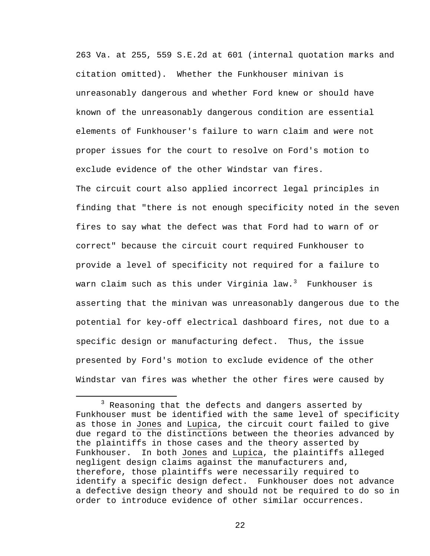263 Va. at 255, 559 S.E.2d at 601 (internal quotation marks and citation omitted). Whether the Funkhouser minivan is unreasonably dangerous and whether Ford knew or should have known of the unreasonably dangerous condition are essential elements of Funkhouser's failure to warn claim and were not proper issues for the court to resolve on Ford's motion to exclude evidence of the other Windstar van fires. The circuit court also applied incorrect legal principles in finding that "there is not enough specificity noted in the seven fires to say what the defect was that Ford had to warn of or correct" because the circuit court required Funkhouser to provide a level of specificity not required for a failure to warn claim such as this under Virginia law.<sup>[3](#page-21-0)</sup> Funkhouser is asserting that the minivan was unreasonably dangerous due to the potential for key-off electrical dashboard fires, not due to a specific design or manufacturing defect. Thus, the issue presented by Ford's motion to exclude evidence of the other Windstar van fires was whether the other fires were caused by

<span id="page-21-0"></span> $3$  Reasoning that the defects and dangers asserted by Funkhouser must be identified with the same level of specificity as those in Jones and Lupica, the circuit court failed to give due regard to the distinctions between the theories advanced by the plaintiffs in those cases and the theory asserted by Funkhouser. In both Jones and Lupica, the plaintiffs alleged negligent design claims against the manufacturers and, therefore, those plaintiffs were necessarily required to identify a specific design defect. Funkhouser does not advance a defective design theory and should not be required to do so in order to introduce evidence of other similar occurrences.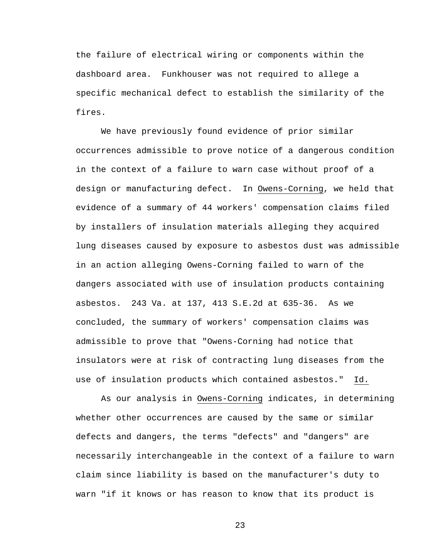the failure of electrical wiring or components within the dashboard area. Funkhouser was not required to allege a specific mechanical defect to establish the similarity of the fires.

We have previously found evidence of prior similar occurrences admissible to prove notice of a dangerous condition in the context of a failure to warn case without proof of a design or manufacturing defect. In Owens-Corning, we held that evidence of a summary of 44 workers' compensation claims filed by installers of insulation materials alleging they acquired lung diseases caused by exposure to asbestos dust was admissible in an action alleging Owens-Corning failed to warn of the dangers associated with use of insulation products containing asbestos. 243 Va. at 137, 413 S.E.2d at 635-36. As we concluded, the summary of workers' compensation claims was admissible to prove that "Owens-Corning had notice that insulators were at risk of contracting lung diseases from the use of insulation products which contained asbestos." Id.

As our analysis in Owens-Corning indicates, in determining whether other occurrences are caused by the same or similar defects and dangers, the terms "defects" and "dangers" are necessarily interchangeable in the context of a failure to warn claim since liability is based on the manufacturer's duty to warn "if it knows or has reason to know that its product is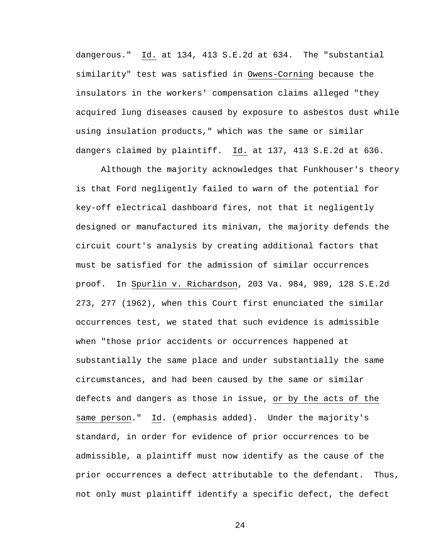dangerous." Id. at 134, 413 S.E.2d at 634. The "substantial similarity" test was satisfied in Owens-Corning because the insulators in the workers' compensation claims alleged "they acquired lung diseases caused by exposure to asbestos dust while using insulation products," which was the same or similar dangers claimed by plaintiff. Id. at 137, 413 S.E.2d at 636.

Although the majority acknowledges that Funkhouser's theory is that Ford negligently failed to warn of the potential for key-off electrical dashboard fires, not that it negligently designed or manufactured its minivan, the majority defends the circuit court's analysis by creating additional factors that must be satisfied for the admission of similar occurrences proof. In Spurlin v. Richardson, 203 Va. 984, 989, 128 S.E.2d 273, 277 (1962), when this Court first enunciated the similar occurrences test, we stated that such evidence is admissible when "those prior accidents or occurrences happened at substantially the same place and under substantially the same circumstances, and had been caused by the same or similar defects and dangers as those in issue, or by the acts of the same person." Id. (emphasis added). Under the majority's standard, in order for evidence of prior occurrences to be admissible, a plaintiff must now identify as the cause of the prior occurrences a defect attributable to the defendant. Thus, not only must plaintiff identify a specific defect, the defect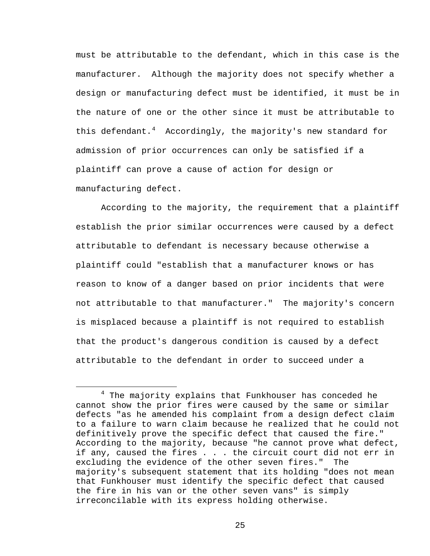must be attributable to the defendant, which in this case is the manufacturer. Although the majority does not specify whether a design or manufacturing defect must be identified, it must be in the nature of one or the other since it must be attributable to this defendant.<sup>[4](#page-24-0)</sup> Accordingly, the majority's new standard for admission of prior occurrences can only be satisfied if a plaintiff can prove a cause of action for design or manufacturing defect.

According to the majority, the requirement that a plaintiff establish the prior similar occurrences were caused by a defect attributable to defendant is necessary because otherwise a plaintiff could "establish that a manufacturer knows or has reason to know of a danger based on prior incidents that were not attributable to that manufacturer." The majority's concern is misplaced because a plaintiff is not required to establish that the product's dangerous condition is caused by a defect attributable to the defendant in order to succeed under a

<span id="page-24-0"></span> $4$  The majority explains that Funkhouser has conceded he cannot show the prior fires were caused by the same or similar defects "as he amended his complaint from a design defect claim to a failure to warn claim because he realized that he could not definitively prove the specific defect that caused the fire." According to the majority, because "he cannot prove what defect, if any, caused the fires . . . the circuit court did not err in excluding the evidence of the other seven fires." The majority's subsequent statement that its holding "does not mean that Funkhouser must identify the specific defect that caused the fire in his van or the other seven vans" is simply irreconcilable with its express holding otherwise.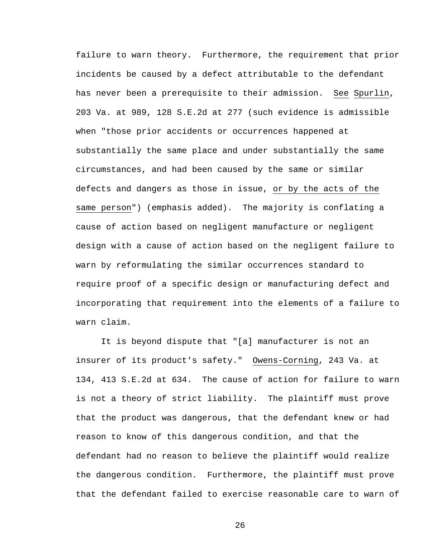failure to warn theory. Furthermore, the requirement that prior incidents be caused by a defect attributable to the defendant has never been a prerequisite to their admission. See Spurlin, 203 Va. at 989, 128 S.E.2d at 277 (such evidence is admissible when "those prior accidents or occurrences happened at substantially the same place and under substantially the same circumstances, and had been caused by the same or similar defects and dangers as those in issue, or by the acts of the same person") (emphasis added). The majority is conflating a cause of action based on negligent manufacture or negligent design with a cause of action based on the negligent failure to warn by reformulating the similar occurrences standard to require proof of a specific design or manufacturing defect and incorporating that requirement into the elements of a failure to warn claim.

It is beyond dispute that "[a] manufacturer is not an insurer of its product's safety." Owens-Corning, 243 Va. at 134, 413 S.E.2d at 634. The cause of action for failure to warn is not a theory of strict liability. The plaintiff must prove that the product was dangerous, that the defendant knew or had reason to know of this dangerous condition, and that the defendant had no reason to believe the plaintiff would realize the dangerous condition. Furthermore, the plaintiff must prove that the defendant failed to exercise reasonable care to warn of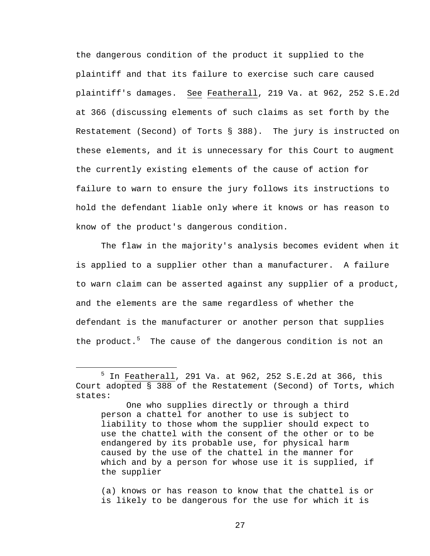the dangerous condition of the product it supplied to the plaintiff and that its failure to exercise such care caused plaintiff's damages. See Featherall, 219 Va. at 962, 252 S.E.2d at 366 (discussing elements of such claims as set forth by the Restatement (Second) of Torts § 388). The jury is instructed on these elements, and it is unnecessary for this Court to augment the currently existing elements of the cause of action for failure to warn to ensure the jury follows its instructions to hold the defendant liable only where it knows or has reason to know of the product's dangerous condition.

The flaw in the majority's analysis becomes evident when it is applied to a supplier other than a manufacturer. A failure to warn claim can be asserted against any supplier of a product, and the elements are the same regardless of whether the defendant is the manufacturer or another person that supplies the product.<sup>[5](#page-26-0)</sup> The cause of the dangerous condition is not an

(a) knows or has reason to know that the chattel is or is likely to be dangerous for the use for which it is

<span id="page-26-0"></span> <sup>5</sup> In Featherall, 291 Va. at 962, 252 S.E.2d at 366, this Court adopted § 388 of the Restatement (Second) of Torts, which states:

One who supplies directly or through a third person a chattel for another to use is subject to liability to those whom the supplier should expect to use the chattel with the consent of the other or to be endangered by its probable use, for physical harm caused by the use of the chattel in the manner for which and by a person for whose use it is supplied, if the supplier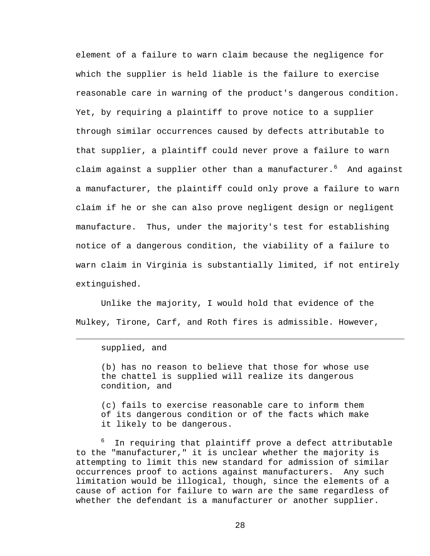element of a failure to warn claim because the negligence for which the supplier is held liable is the failure to exercise reasonable care in warning of the product's dangerous condition. Yet, by requiring a plaintiff to prove notice to a supplier through similar occurrences caused by defects attributable to that supplier, a plaintiff could never prove a failure to warn claim against a supplier other than a manufacturer.<sup>[6](#page-27-0)</sup> And against a manufacturer, the plaintiff could only prove a failure to warn claim if he or she can also prove negligent design or negligent manufacture. Thus, under the majority's test for establishing notice of a dangerous condition, the viability of a failure to warn claim in Virginia is substantially limited, if not entirely extinguished.

Unlike the majority, I would hold that evidence of the Mulkey, Tirone, Carf, and Roth fires is admissible. However,

## supplied, and

ī

(b) has no reason to believe that those for whose use the chattel is supplied will realize its dangerous condition, and

(c) fails to exercise reasonable care to inform them of its dangerous condition or of the facts which make it likely to be dangerous.

<span id="page-27-0"></span>6 In requiring that plaintiff prove a defect attributable to the "manufacturer," it is unclear whether the majority is attempting to limit this new standard for admission of similar occurrences proof to actions against manufacturers. Any such limitation would be illogical, though, since the elements of a cause of action for failure to warn are the same regardless of whether the defendant is a manufacturer or another supplier.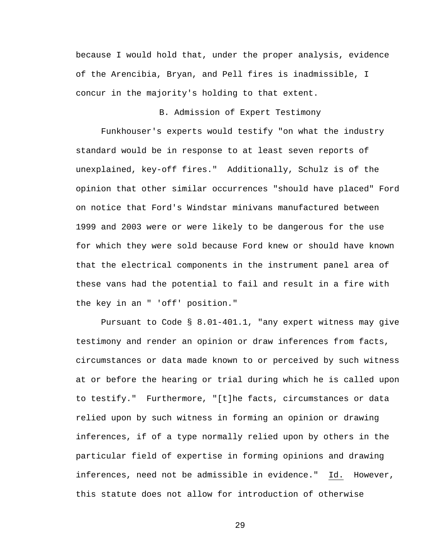because I would hold that, under the proper analysis, evidence of the Arencibia, Bryan, and Pell fires is inadmissible, I concur in the majority's holding to that extent.

B. Admission of Expert Testimony

Funkhouser's experts would testify "on what the industry standard would be in response to at least seven reports of unexplained, key-off fires." Additionally, Schulz is of the opinion that other similar occurrences "should have placed" Ford on notice that Ford's Windstar minivans manufactured between 1999 and 2003 were or were likely to be dangerous for the use for which they were sold because Ford knew or should have known that the electrical components in the instrument panel area of these vans had the potential to fail and result in a fire with the key in an " 'off' position."

Pursuant to Code § 8.01-401.1, "any expert witness may give testimony and render an opinion or draw inferences from facts, circumstances or data made known to or perceived by such witness at or before the hearing or trial during which he is called upon to testify." Furthermore, "[t]he facts, circumstances or data relied upon by such witness in forming an opinion or drawing inferences, if of a type normally relied upon by others in the particular field of expertise in forming opinions and drawing inferences, need not be admissible in evidence." Id. However, this statute does not allow for introduction of otherwise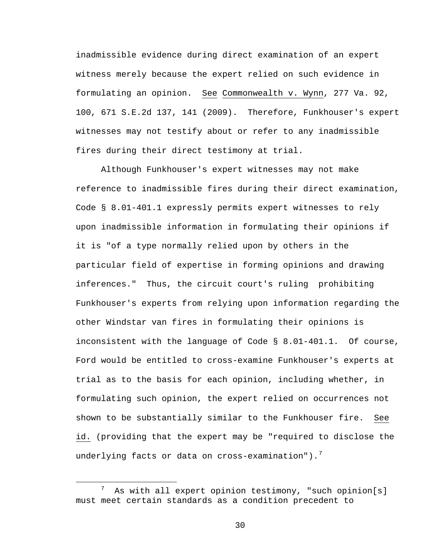inadmissible evidence during direct examination of an expert witness merely because the expert relied on such evidence in formulating an opinion. See Commonwealth v. Wynn, 277 Va. 92, 100, 671 S.E.2d 137, 141 (2009). Therefore, Funkhouser's expert witnesses may not testify about or refer to any inadmissible fires during their direct testimony at trial.

Although Funkhouser's expert witnesses may not make reference to inadmissible fires during their direct examination, Code § 8.01-401.1 expressly permits expert witnesses to rely upon inadmissible information in formulating their opinions if it is "of a type normally relied upon by others in the particular field of expertise in forming opinions and drawing inferences." Thus, the circuit court's ruling prohibiting Funkhouser's experts from relying upon information regarding the other Windstar van fires in formulating their opinions is inconsistent with the language of Code § 8.01-401.1. Of course, Ford would be entitled to cross-examine Funkhouser's experts at trial as to the basis for each opinion, including whether, in formulating such opinion, the expert relied on occurrences not shown to be substantially similar to the Funkhouser fire. See id. (providing that the expert may be "required to disclose the underlying facts or data on cross-examination").<sup>[7](#page-29-0)</sup>

<span id="page-29-0"></span> <sup>7</sup> As with all expert opinion testimony, "such opinion[s] must meet certain standards as a condition precedent to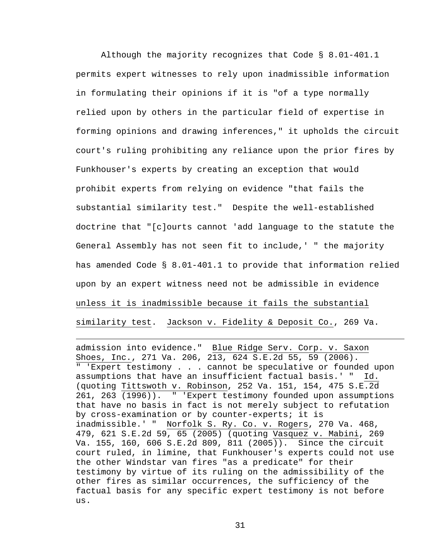Although the majority recognizes that Code § 8.01-401.1 permits expert witnesses to rely upon inadmissible information in formulating their opinions if it is "of a type normally relied upon by others in the particular field of expertise in forming opinions and drawing inferences," it upholds the circuit court's ruling prohibiting any reliance upon the prior fires by Funkhouser's experts by creating an exception that would prohibit experts from relying on evidence "that fails the substantial similarity test." Despite the well-established doctrine that "[c]ourts cannot 'add language to the statute the General Assembly has not seen fit to include,' " the majority has amended Code § 8.01-401.1 to provide that information relied upon by an expert witness need not be admissible in evidence unless it is inadmissible because it fails the substantial similarity test. Jackson v. Fidelity & Deposit Co., 269 Va.

admission into evidence." Blue Ridge Serv. Corp. v. Saxon Shoes, Inc., 271 Va. 206, 213, 624 S.E.2d 55, 59 (2006). " 'Expert testimony . . . cannot be speculative or founded upon assumptions that have an insufficient factual basis.' " Id. (quoting Tittswoth v. Robinson, 252 Va. 151, 154, 475 S.E.2d 261, 263 (1996)). " 'Expert testimony founded upon assumptions that have no basis in fact is not merely subject to refutation by cross-examination or by counter-experts; it is inadmissible.' " Norfolk S. Ry. Co. v. Rogers, 270 Va. 468, 479, 621 S.E.2d 59, 65 (2005) (quoting Vasquez v. Mabini, 269 Va. 155, 160, 606 S.E.2d 809, 811 (2005)). Since the circuit court ruled, in limine, that Funkhouser's experts could not use the other Windstar van fires "as a predicate" for their testimony by virtue of its ruling on the admissibility of the other fires as similar occurrences, the sufficiency of the factual basis for any specific expert testimony is not before us.

ī